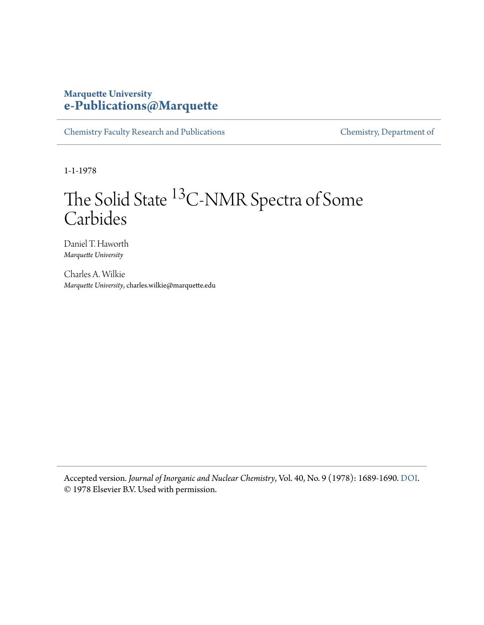### **Marquette University [e-Publications@Marquette](https://epublications.marquette.edu)**

[Chemistry Faculty Research and Publications](https://epublications.marquette.edu/chem_fac) [Chemistry, Department of](https://epublications.marquette.edu/chemistry)

1-1-1978

## The Solid State <sup>13</sup>C-NMR Spectra of Some Carbides

Daniel T. Haworth *Marquette University*

Charles A. Wilkie *Marquette University*, charles.wilkie@marquette.edu

Accepted version*. Journal of Inorganic and Nuclear Chemistry*, Vol. 40, No. 9 (1978): 1689-1690. [DOI.](https://doi.org/10.1016/0022-1902(78)80357-1) © 1978 Elsevier B.V. Used with permission.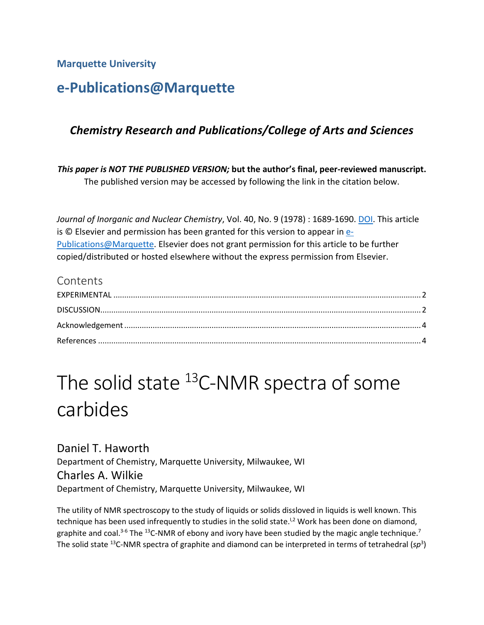**Marquette University**

### **e-Publications@Marquette**

### *Chemistry Research and Publications/College of Arts and Sciences*

*This paper is NOT THE PUBLISHED VERSION;* **but the author's final, peer-reviewed manuscript.**  The published version may be accessed by following the link in the citation below.

*Journal of Inorganic and Nuclear Chemistry*, Vol. 40, No. 9 (1978) : 1689-1690. [DOI.](https://doi.org/10.1016/0022-1902(78)80357-1) This article is  $\odot$  Elsevier and permission has been granted for this version to appear in  $e$ -[Publications@Marquette.](http://epublications.marquette.edu/) Elsevier does not grant permission for this article to be further copied/distributed or hosted elsewhere without the express permission from Elsevier.

### Contents

# The solid state  $^{13}$ C-NMR spectra of some carbides

Daniel T. Haworth Department of Chemistry, Marquette University, Milwaukee, WI Charles A. Wilkie Department of Chemistry, Marquette University, Milwaukee, WI

The utility of NMR spectroscopy to the study of liquids or solids dissloved in liquids is well known. This technique has been used infrequently to studies in the solid state.<sup>1,2</sup> Work has been done on diamond, graphite and coal.<sup>3-6</sup> The <sup>13</sup>C-NMR of ebony and ivory have been studied by the magic angle technique.<sup>7</sup> The solid state <sup>13</sup>C-NMR spectra of graphite and diamond can be interpreted in terms of tetrahedral (sp<sup>3</sup>)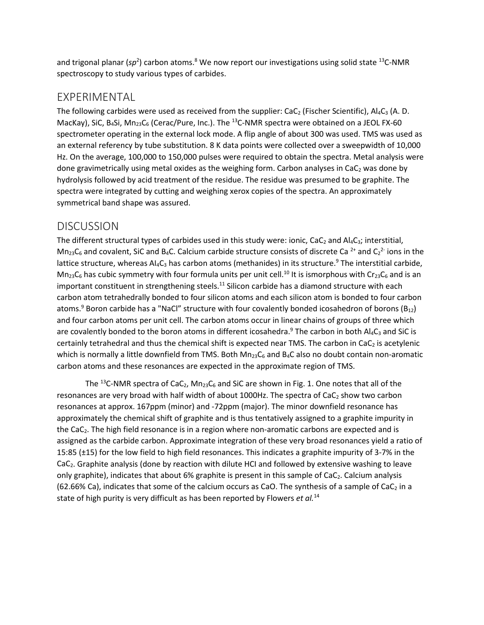and trigonal planar (sp<sup>2</sup>) carbon atoms.<sup>8</sup> We now report our investigations using solid state <sup>13</sup>C-NMR spectroscopy to study various types of carbides.

### <span id="page-2-0"></span>EXPERIMENTAL

The following carbides were used as received from the supplier:  $CaC_2$  (Fischer Scientific), Al<sub>4</sub>C<sub>3</sub> (A. D. MacKay), SiC, B<sub>4</sub>Si, Mn<sub>23</sub>C<sub>6</sub> (Cerac/Pure, Inc.). The <sup>13</sup>C-NMR spectra were obtained on a JEOL FX-60 spectrometer operating in the external lock mode. A flip angle of about 300 was used. TMS was used as an external referency by tube substitution. 8 K data points were collected over a sweepwidth of 10,000 Hz. On the average, 100,000 to 150,000 pulses were required to obtain the spectra. Metal analysis were done gravimetrically using metal oxides as the weighing form. Carbon analyses in CaC<sub>2</sub> was done by hydrolysis followed by acid treatment of the residue. The residue was presumed to be graphite. The spectra were integrated by cutting and weighing xerox copies of the spectra. An approximately symmetrical band shape was assured.

### <span id="page-2-1"></span>DISCUSSION

The different structural types of carbides used in this study were: ionic, CaC<sub>2</sub> and Al<sub>4</sub>C<sub>3</sub>; interstitial, Mn<sub>23</sub>C<sub>6</sub> and covalent, SiC and B<sub>4</sub>C. Calcium carbide structure consists of discrete Ca<sup>2+</sup> and C<sub>2</sub><sup>2-</sup> ions in the lattice structure, whereas AI4C<sub>3</sub> has carbon atoms (methanides) in its structure.<sup>9</sup> The interstitial carbide,  $Mn_{23}C_6$  has cubic symmetry with four formula units per unit cell.<sup>10</sup> It is ismorphous with Cr<sub>23</sub>C<sub>6</sub> and is an important constituent in strengthening steels.<sup>11</sup> Silicon carbide has a diamond structure with each carbon atom tetrahedrally bonded to four silicon atoms and each silicon atom is bonded to four carbon atoms.<sup>9</sup> Boron carbide has a "NaCl" structure with four covalently bonded icosahedron of borons (B<sub>12</sub>) and four carbon atoms per unit cell. The carbon atoms occur in linear chains of groups of three which are covalently bonded to the boron atoms in different icosahedra.<sup>9</sup> The carbon in both Al4C<sub>3</sub> and SiC is certainly tetrahedral and thus the chemical shift is expected near TMS. The carbon in CaC<sub>2</sub> is acetylenic which is normally a little downfield from TMS. Both  $Mn_{23}C_6$  and B<sub>4</sub>C also no doubt contain non-aromatic carbon atoms and these resonances are expected in the approximate region of TMS.

The <sup>13</sup>C-NMR spectra of CaC<sub>2</sub>, Mn<sub>23</sub>C<sub>6</sub> and SiC are shown in Fig. 1. One notes that all of the resonances are very broad with half width of about 1000Hz. The spectra of  $CaC<sub>2</sub>$  show two carbon resonances at approx. 167ppm (minor) and -72ppm (major). The minor downfield resonance has approximately the chemical shift of graphite and is thus tentatively assigned to a graphite impurity in the CaC2. The high field resonance is in a region where non-aromatic carbons are expected and is assigned as the carbide carbon. Approximate integration of these very broad resonances yield a ratio of 15:85 (±15) for the low field to high field resonances. This indicates a graphite impurity of 3-7% in the CaC2. Graphite analysis (done by reaction with dilute HCI and followed by extensive washing to leave only graphite), indicates that about 6% graphite is present in this sample of CaC<sub>2</sub>. Calcium analysis (62.66% Ca), indicates that some of the calcium occurs as CaO. The synthesis of a sample of CaC<sub>2</sub> in a state of high purity is very difficult as has been reported by Flowers *et al.*14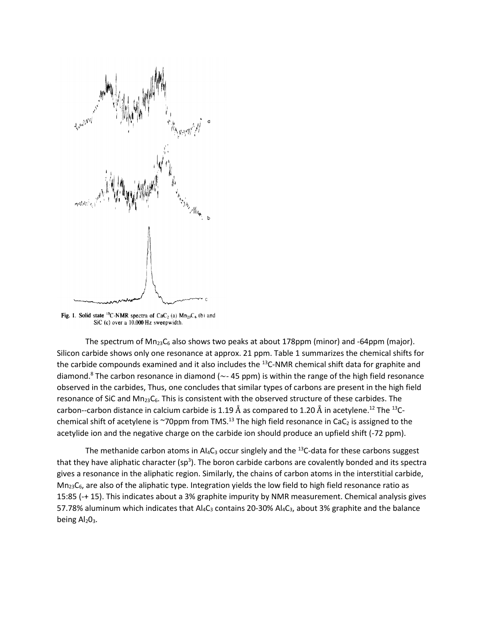

Fig. 1. Solid state <sup>13</sup>C-NMR spectra of CaC<sub>2</sub> (a)  $Mn_{23}C_6$  (b) and SiC (c) over a 10,000 Hz sweepwidth.

The spectrum of  $Mn_{23}C_6$  also shows two peaks at about 178ppm (minor) and -64ppm (major). Silicon carbide shows only one resonance at approx. 21 ppm. Table 1 summarizes the chemical shifts for the carbide compounds examined and it also includes the <sup>13</sup>C-NMR chemical shift data for graphite and diamond.<sup>8</sup> The carbon resonance in diamond ( $\sim$ - 45 ppm) is within the range of the high field resonance observed in the carbides, Thus, one concludes that similar types of carbons are present in the high field resonance of SiC and Mn<sub>23</sub>C<sub>6</sub>. This is consistent with the observed structure of these carbides. The carbon--carbon distance in calcium carbide is 1.19 Å as compared to 1.20 Å in acetylene. $^{12}$  The  $^{13}$ Cchemical shift of acetylene is ~70ppm from TMS.<sup>13</sup> The high field resonance in CaC<sub>2</sub> is assigned to the acetylide ion and the negative charge on the carbide ion should produce an upfield shift (-72 ppm).

The methanide carbon atoms in Al<sub>4</sub>C<sub>3</sub> occur singlely and the <sup>13</sup>C-data for these carbons suggest that they have aliphatic character (sp<sup>3</sup>). The boron carbide carbons are covalently bonded and its spectra gives a resonance in the aliphatic region. Similarly, the chains of carbon atoms in the interstitial carbide,  $Mn_{23}C_6$ , are also of the aliphatic type. Integration yields the low field to high field resonance ratio as 15:85 (-+ 15). This indicates about a 3% graphite impurity by NMR measurement. Chemical analysis gives 57.78% aluminum which indicates that  $Al_4C_3$  contains 20-30%  $Al_4C_3$ , about 3% graphite and the balance being Al<sub>2</sub>O<sub>3</sub>.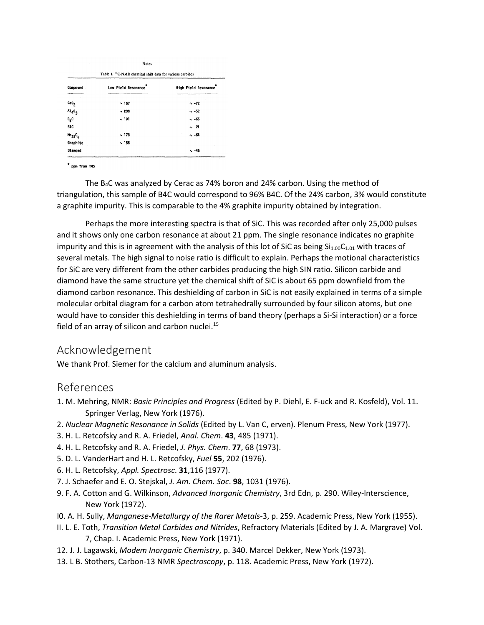| Table 1. <sup>13</sup> C-NMR chemical shift data for various carbides |                     |                      |  |
|-----------------------------------------------------------------------|---------------------|----------------------|--|
| Compound                                                              | Low Field Resonance | High Field Resonance |  |
| caC <sub>2</sub>                                                      | ~167                | $-72$                |  |
| $A1_4C_3$                                                             | ~1200               | $\sim -52$           |  |
| $B_4C$                                                                | ~191                | $-66$                |  |
| Sic                                                                   |                     | $-21$                |  |
| $m_{23}c_6$                                                           | ~178                | $-64$                |  |
| Graphite                                                              | ~155                |                      |  |
| Diamond                                                               |                     | ~45                  |  |

" ppm from TMS

The B4C was analyzed by Cerac as 74% boron and 24% carbon. Using the method of triangulation, this sample of B4C would correspond to 96% B4C. Of the 24% carbon, 3% would constitute a graphite impurity. This is comparable to the 4% graphite impurity obtained by integration.

Perhaps the more interesting spectra is that of SiC. This was recorded after only 25,000 pulses and it shows only one carbon resonance at about 21 ppm. The single resonance indicates no graphite impurity and this is in agreement with the analysis of this lot of SiC as being  $Si_{1.00}C_{1.01}$  with traces of several metals. The high signal to noise ratio is difficult to explain. Perhaps the motional characteristics for SiC are very different from the other carbides producing the high SIN ratio. Silicon carbide and diamond have the same structure yet the chemical shift of SiC is about 65 ppm downfield from the diamond carbon resonance. This deshielding of carbon in SiC is not easily explained in terms of a simple molecular orbital diagram for a carbon atom tetrahedrally surrounded by four silicon atoms, but one would have to consider this deshielding in terms of band theory (perhaps a Si-Si interaction) or a force field of an array of silicon and carbon nuclei.<sup>15</sup>

### <span id="page-4-0"></span>Acknowledgement

We thank Prof. Siemer for the calcium and aluminum analysis.

### <span id="page-4-1"></span>References

- 1. M. Mehring, NMR: *Basic Principles and Progress* (Edited by P. Diehl, E. F-uck and R. Kosfeld), Vol. 11. Springer Verlag, New York (1976).
- 2. *Nuclear Magnetic Resonance in Solids* (Edited by L. Van C, erven). Plenum Press, New York (1977).
- 3. H. L. Retcofsky and R. A. Friedel, *Anal. Chem*. **43**, 485 (1971).
- 4. H. L. Retcofsky and R. A. Friedel, *J. Phys. Chem*. **77**, 68 (1973).
- 5. D. L. VanderHart and H. L. Retcofsky, *Fuel* **55**, 202 (1976).
- 6. H. L. Retcofsky, *Appl. Spectrosc*. **31**,116 (1977).
- 7. J. Schaefer and E. O. Stejskal, *J. Am. Chem. Soc*. **98**, 1031 (1976).
- 9. F. A. Cotton and G. Wilkinson, *Advanced Inorganic Chemistry*, 3rd Edn, p. 290. Wiley-lnterscience, New York (1972).
- I0. A. H. Sully, *Manganese-Metallurgy of the Rarer Metals*-3, p. 259. Academic Press, New York (1955).
- II. L. E. Toth, *Transition Metal Carbides and Nitrides*, Refractory Materials (Edited by J. A. Margrave) Vol. 7, Chap. I. Academic Press, New York (1971).
- 12. J. J. Lagawski, *Modem Inorganic Chemistry*, p. 340. Marcel Dekker, New York (1973).
- 13. L B. Stothers, Carbon-13 NMR *Spectroscopy*, p. 118. Academic Press, New York (1972).